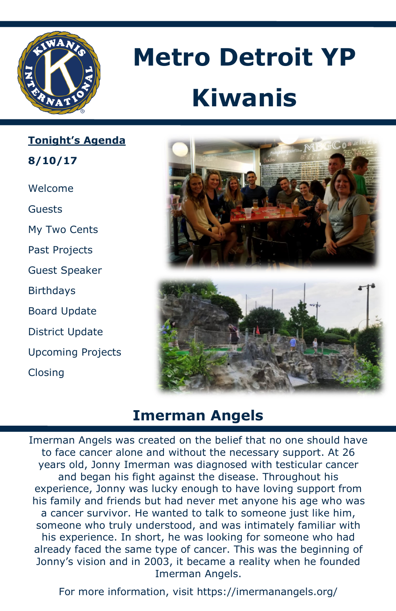

# **Metro Detroit YP Kiwanis**

**Tonight's Agenda**

**8/10/17**

Welcome

Guests

My Two Cents

Past Projects

Guest Speaker

**Birthdays** 

Board Update

District Update

Upcoming Projects

Closing





# **Imerman Angels**

Imerman Angels was created on the belief that no one should have to face cancer alone and without the necessary support. At 26 years old, Jonny Imerman was diagnosed with testicular cancer and began his fight against the disease. Throughout his experience, Jonny was lucky enough to have loving support from his family and friends but had never met anyone his age who was a cancer survivor. He wanted to talk to someone just like him, someone who truly understood, and was intimately familiar with his experience. In short, he was looking for someone who had already faced the same type of cancer. This was the beginning of Jonny's vision and in 2003, it became a reality when he founded Imerman Angels.

For more information, visit https://imermanangels.org/